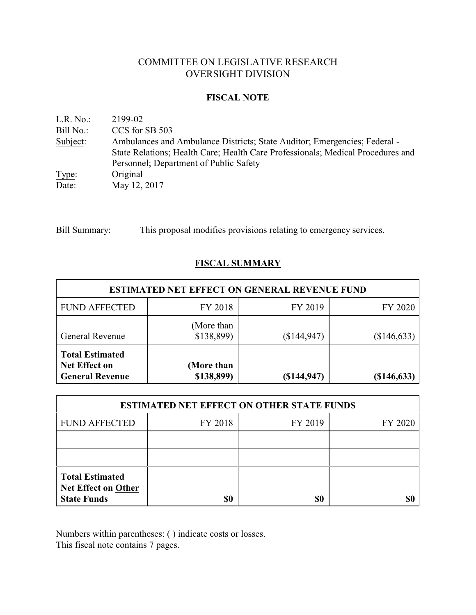# COMMITTEE ON LEGISLATIVE RESEARCH OVERSIGHT DIVISION

# **FISCAL NOTE**

| L.R. No.  | 2199-02                                                                         |
|-----------|---------------------------------------------------------------------------------|
| Bill No.: | CCS for SB 503                                                                  |
| Subject:  | Ambulances and Ambulance Districts; State Auditor; Emergencies; Federal -       |
|           | State Relations; Health Care; Health Care Professionals; Medical Procedures and |
|           | Personnel; Department of Public Safety                                          |
| Type:     | Original                                                                        |
| Date:     | May 12, 2017                                                                    |
|           |                                                                                 |

Bill Summary: This proposal modifies provisions relating to emergency services.

# **FISCAL SUMMARY**

| <b>ESTIMATED NET EFFECT ON GENERAL REVENUE FUND</b>                      |                          |              |               |  |
|--------------------------------------------------------------------------|--------------------------|--------------|---------------|--|
| <b>FUND AFFECTED</b>                                                     | FY 2018                  | FY 2019      | FY 2020       |  |
| <b>General Revenue</b>                                                   | (More than<br>\$138,899) | (\$144, 947) | (\$146,633)   |  |
| <b>Total Estimated</b><br><b>Net Effect on</b><br><b>General Revenue</b> | (More than<br>\$138,899) | (\$144, 947) | $(\$146,633)$ |  |

| <b>ESTIMATED NET EFFECT ON OTHER STATE FUNDS</b>                           |         |         |         |  |
|----------------------------------------------------------------------------|---------|---------|---------|--|
| <b>FUND AFFECTED</b>                                                       | FY 2018 | FY 2019 | FY 2020 |  |
|                                                                            |         |         |         |  |
|                                                                            |         |         |         |  |
| <b>Total Estimated</b><br><b>Net Effect on Other</b><br><b>State Funds</b> |         | \$0     |         |  |

Numbers within parentheses: ( ) indicate costs or losses.

This fiscal note contains 7 pages.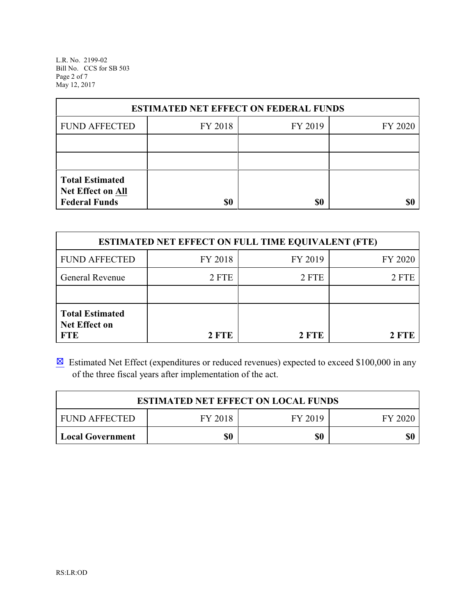L.R. No. 2199-02 Bill No. CCS for SB 503 Page 2 of 7 May 12, 2017

| <b>ESTIMATED NET EFFECT ON FEDERAL FUNDS</b> |         |         |         |  |
|----------------------------------------------|---------|---------|---------|--|
| <b>FUND AFFECTED</b>                         | FY 2018 | FY 2019 | FY 2020 |  |
|                                              |         |         |         |  |
|                                              |         |         |         |  |
| <b>Total Estimated</b><br>Net Effect on All  |         |         |         |  |
| <b>Federal Funds</b>                         | \$0     | \$0     |         |  |

| <b>ESTIMATED NET EFFECT ON FULL TIME EQUIVALENT (FTE)</b>    |         |         |         |  |
|--------------------------------------------------------------|---------|---------|---------|--|
| <b>FUND AFFECTED</b>                                         | FY 2018 | FY 2019 | FY 2020 |  |
| General Revenue                                              | 2 FTE   | 2 FTE   | 2 FTE   |  |
|                                                              |         |         |         |  |
| <b>Total Estimated</b><br><b>Net Effect on</b><br><b>FTE</b> | 2 FTE   | 2 FTE   | 2 FTE   |  |

 $\boxtimes$  Estimated Net Effect (expenditures or reduced revenues) expected to exceed \$100,000 in any of the three fiscal years after implementation of the act.

| <b>ESTIMATED NET EFFECT ON LOCAL FUNDS</b> |         |         |         |
|--------------------------------------------|---------|---------|---------|
| <b>FUND AFFECTED</b>                       | FY 2018 | FY 2019 | FY 2020 |
| <b>Local Government</b>                    | \$0     | \$0     | \$0     |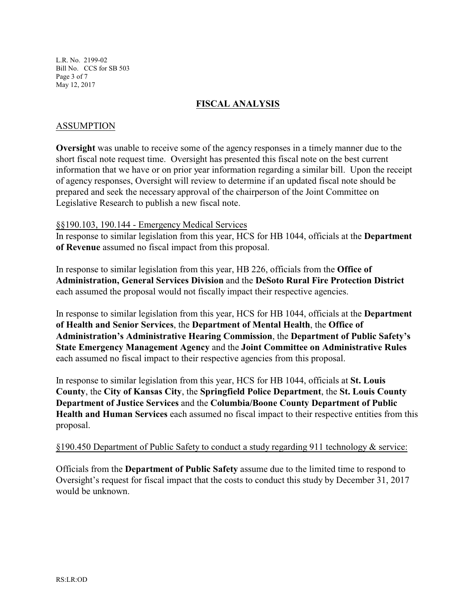L.R. No. 2199-02 Bill No. CCS for SB 503 Page 3 of 7 May 12, 2017

# **FISCAL ANALYSIS**

# ASSUMPTION

**Oversight** was unable to receive some of the agency responses in a timely manner due to the short fiscal note request time. Oversight has presented this fiscal note on the best current information that we have or on prior year information regarding a similar bill. Upon the receipt of agency responses, Oversight will review to determine if an updated fiscal note should be prepared and seek the necessary approval of the chairperson of the Joint Committee on Legislative Research to publish a new fiscal note.

### §§190.103, 190.144 - Emergency Medical Services

In response to similar legislation from this year, HCS for HB 1044, officials at the **Department of Revenue** assumed no fiscal impact from this proposal.

In response to similar legislation from this year, HB 226, officials from the **Office of Administration, General Services Division** and the **DeSoto Rural Fire Protection District** each assumed the proposal would not fiscally impact their respective agencies.

In response to similar legislation from this year, HCS for HB 1044, officials at the **Department of Health and Senior Services**, the **Department of Mental Health**, the **Office of Administration's Administrative Hearing Commission**, the **Department of Public Safety's State Emergency Management Agency** and the **Joint Committee on Administrative Rules** each assumed no fiscal impact to their respective agencies from this proposal.

In response to similar legislation from this year, HCS for HB 1044, officials at **St. Louis County**, the **City of Kansas City**, the **Springfield Police Department**, the **St. Louis County Department of Justice Services** and the **Columbia/Boone County Department of Public Health and Human Services** each assumed no fiscal impact to their respective entities from this proposal.

#### §190.450 Department of Public Safety to conduct a study regarding 911 technology & service:

Officials from the **Department of Public Safety** assume due to the limited time to respond to Oversight's request for fiscal impact that the costs to conduct this study by December 31, 2017 would be unknown.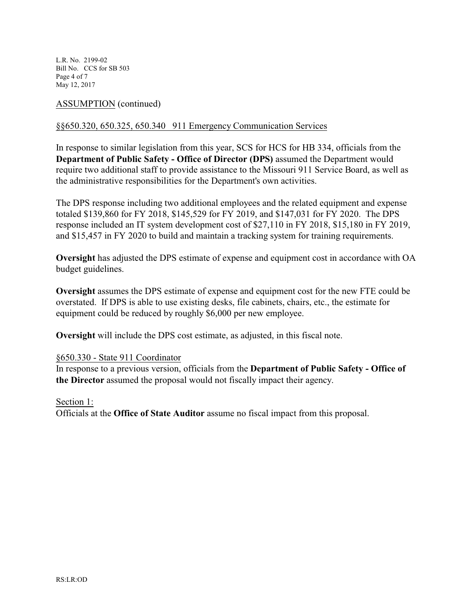L.R. No. 2199-02 Bill No. CCS for SB 503 Page 4 of 7 May 12, 2017

# ASSUMPTION (continued)

# §§650.320, 650.325, 650.340 911 Emergency Communication Services

In response to similar legislation from this year, SCS for HCS for HB 334, officials from the **Department of Public Safety - Office of Director (DPS)** assumed the Department would require two additional staff to provide assistance to the Missouri 911 Service Board, as well as the administrative responsibilities for the Department's own activities.

The DPS response including two additional employees and the related equipment and expense totaled \$139,860 for FY 2018, \$145,529 for FY 2019, and \$147,031 for FY 2020. The DPS response included an IT system development cost of \$27,110 in FY 2018, \$15,180 in FY 2019, and \$15,457 in FY 2020 to build and maintain a tracking system for training requirements.

**Oversight** has adjusted the DPS estimate of expense and equipment cost in accordance with OA budget guidelines.

**Oversight** assumes the DPS estimate of expense and equipment cost for the new FTE could be overstated. If DPS is able to use existing desks, file cabinets, chairs, etc., the estimate for equipment could be reduced by roughly \$6,000 per new employee.

**Oversight** will include the DPS cost estimate, as adjusted, in this fiscal note.

# §650.330 - State 911 Coordinator

In response to a previous version, officials from the **Department of Public Safety - Office of the Director** assumed the proposal would not fiscally impact their agency.

#### Section 1:

Officials at the **Office of State Auditor** assume no fiscal impact from this proposal.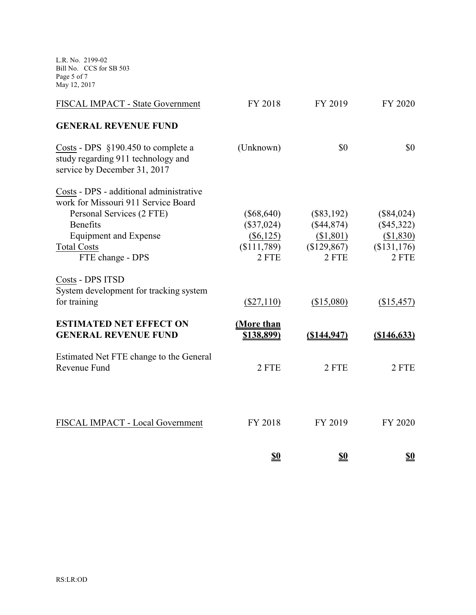L.R. No. 2199-02 Bill No. CCS for SB 503 Page 5 of 7 May 12, 2017

| FISCAL IMPACT - State Government                                                                           | FY 2018      | FY 2019        | FY 2020      |
|------------------------------------------------------------------------------------------------------------|--------------|----------------|--------------|
| <b>GENERAL REVENUE FUND</b>                                                                                |              |                |              |
| Costs - DPS $$190.450$ to complete a<br>study regarding 911 technology and<br>service by December 31, 2017 | (Unknown)    | \$0            | \$0          |
| Costs - DPS - additional administrative<br>work for Missouri 911 Service Board                             |              |                |              |
| Personal Services (2 FTE)                                                                                  | $(\$68,640)$ | $(\$83,192)$   | $(\$84,024)$ |
| <b>Benefits</b>                                                                                            | $(\$37,024)$ | (\$44,874)     | $(\$45,322)$ |
| <b>Equipment and Expense</b>                                                                               | (\$6, 125)   | \$1,801)       | (\$1,830)    |
| <b>Total Costs</b>                                                                                         | (\$111,789)  | \$129,867      | (\$131,176)  |
| FTE change - DPS                                                                                           | 2 FTE        | 2 FTE          | 2 FTE        |
| Costs - DPS ITSD                                                                                           |              |                |              |
| System development for tracking system                                                                     |              |                |              |
| for training                                                                                               | $(\$27,110)$ | (\$15,080)     | (\$15,457)   |
| <b>ESTIMATED NET EFFECT ON</b>                                                                             | (More than   |                |              |
| <b>GENERAL REVENUE FUND</b>                                                                                | \$138,899)   | $($ \$144,947) | (\$146,633)  |
| Estimated Net FTE change to the General                                                                    |              |                |              |
| Revenue Fund                                                                                               | 2 FTE        | 2 FTE          | 2 FTE        |
|                                                                                                            |              |                |              |
|                                                                                                            |              |                |              |
| FISCAL IMPACT - Local Government                                                                           | FY 2018      | FY 2019        | FY 2020      |
|                                                                                                            | <u>\$0</u>   | <u>\$0</u>     | <u>\$0</u>   |
|                                                                                                            |              |                |              |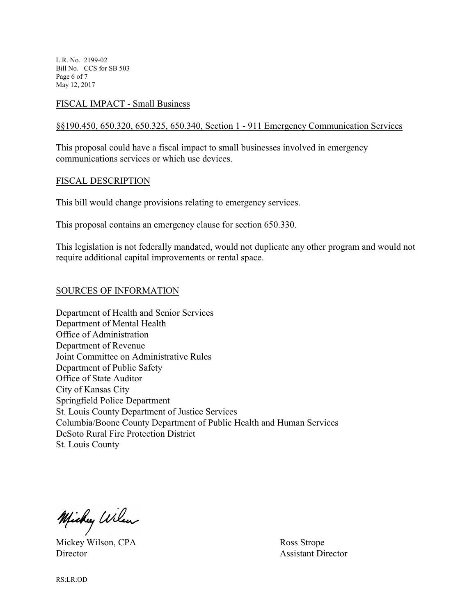L.R. No. 2199-02 Bill No. CCS for SB 503 Page 6 of 7 May 12, 2017

# FISCAL IMPACT - Small Business

# §§190.450, 650.320, 650.325, 650.340, Section 1 - 911 Emergency Communication Services

This proposal could have a fiscal impact to small businesses involved in emergency communications services or which use devices.

#### FISCAL DESCRIPTION

This bill would change provisions relating to emergency services.

This proposal contains an emergency clause for section 650.330.

This legislation is not federally mandated, would not duplicate any other program and would not require additional capital improvements or rental space.

### SOURCES OF INFORMATION

Department of Health and Senior Services Department of Mental Health Office of Administration Department of Revenue Joint Committee on Administrative Rules Department of Public Safety Office of State Auditor City of Kansas City Springfield Police Department St. Louis County Department of Justice Services Columbia/Boone County Department of Public Health and Human Services DeSoto Rural Fire Protection District St. Louis County

Michy Wilson

Mickey Wilson, CPA Ross Strope Director Assistant Director